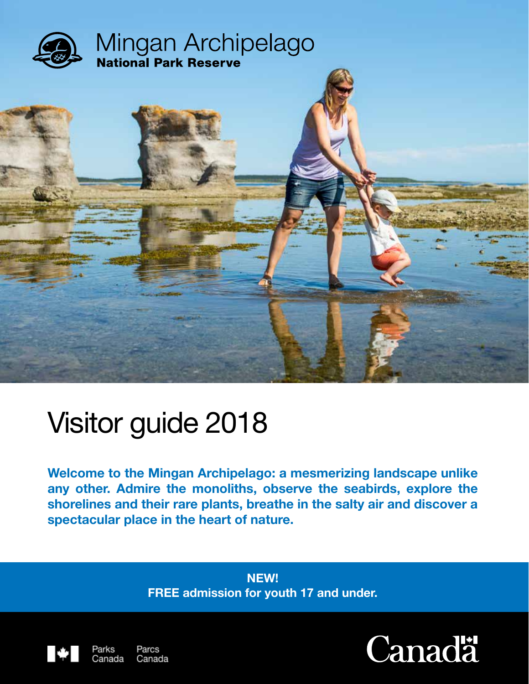

# Visitor guide 2018

Canada

**Welcome to the Mingan Archipelago: a mesmerizing landscape unlike any other. Admire the monoliths, observe the seabirds, explore the shorelines and their rare plants, breathe in the salty air and discover a spectacular place in the heart of nature.**

> **NEW! FREE admission for youth 17 and under.**



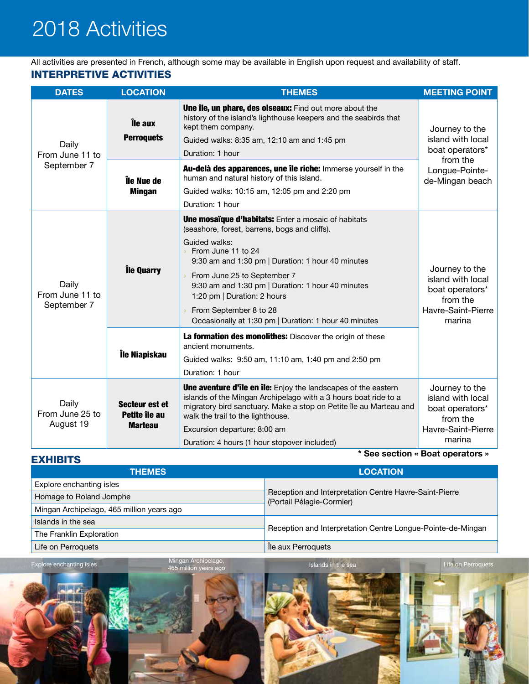## 2018 Activities

interpretIVE Activities All activities are presented in French, although some may be available in English upon request and availability of staff.

| <b>DATES</b>                                          | <b>LOCATION</b>                                   | <b>THEMES</b>                                                                                                                                                                                                                                                                                                                                                                                                                                                             | <b>MEETING POINT</b>                                                                               |  |
|-------------------------------------------------------|---------------------------------------------------|---------------------------------------------------------------------------------------------------------------------------------------------------------------------------------------------------------------------------------------------------------------------------------------------------------------------------------------------------------------------------------------------------------------------------------------------------------------------------|----------------------------------------------------------------------------------------------------|--|
| Daily<br>From June 11 to                              | Île aux<br><b>Perroquets</b>                      | Une île, un phare, des oiseaux: Find out more about the<br>history of the island's lighthouse keepers and the seabirds that<br>kept them company.<br>Guided walks: 8:35 am, 12:10 am and 1:45 pm<br>Duration: 1 hour                                                                                                                                                                                                                                                      | Journey to the<br>island with local<br>boat operators*                                             |  |
| September 7                                           | Île Nue de<br><b>Mingan</b>                       | Au-delà des apparences, une île riche: Immerse yourself in the<br>human and natural history of this island.<br>Guided walks: 10:15 am, 12:05 pm and 2:20 pm<br>Duration: 1 hour                                                                                                                                                                                                                                                                                           | from the<br>Longue-Pointe-<br>de-Mingan beach                                                      |  |
| lle Quarry<br>Daily<br>From June 11 to<br>September 7 |                                                   | <b>Une mosaïque d'habitats:</b> Enter a mosaic of habitats<br>(seashore, forest, barrens, bogs and cliffs).<br>Guided walks:<br>From June 11 to 24<br>$\mathbf{y}$<br>9:30 am and 1:30 pm   Duration: 1 hour 40 minutes<br>From June 25 to September 7<br>$\mathbf{y}$<br>9:30 am and 1:30 pm   Duration: 1 hour 40 minutes<br>1:20 pm   Duration: 2 hours<br>From September 8 to 28<br>$\overline{\phantom{0}}$<br>Occasionally at 1:30 pm   Duration: 1 hour 40 minutes | Journey to the<br>island with local<br>boat operators*<br>from the<br>Havre-Saint-Pierre<br>marina |  |
|                                                       | Île Niapiskau                                     | La formation des monolithes: Discover the origin of these<br>ancient monuments.<br>Guided walks: 9:50 am, 11:10 am, 1:40 pm and 2:50 pm<br>Duration: 1 hour                                                                                                                                                                                                                                                                                                               |                                                                                                    |  |
| Daily<br>From June 25 to<br>August 19                 | Secteur est et<br>Petite île au<br><b>Marteau</b> | Une aventure d'île en île: Enjoy the landscapes of the eastern<br>islands of the Mingan Archipelago with a 3 hours boat ride to a<br>migratory bird sanctuary. Make a stop on Petite île au Marteau and<br>walk the trail to the lighthouse.<br>Excursion departure: 8:00 am<br>Duration: 4 hours (1 hour stopover included)                                                                                                                                              |                                                                                                    |  |

**\* See section « Boat operators »**

| <b>EXHIBITS</b>                           | See section « pour operators »                                                      |  |  |
|-------------------------------------------|-------------------------------------------------------------------------------------|--|--|
| <b>THEMES</b>                             | <b>LOCATION</b>                                                                     |  |  |
| Explore enchanting isles                  |                                                                                     |  |  |
| Homage to Roland Jomphe                   | Reception and Interpretation Centre Havre-Saint-Pierre<br>(Portail Pélagie-Cormier) |  |  |
| Mingan Archipelago, 465 million years ago |                                                                                     |  |  |
| Islands in the sea                        |                                                                                     |  |  |
| The Franklin Exploration                  | Reception and Interpretation Centre Longue-Pointe-de-Mingan                         |  |  |
| Life on Perroquets                        | lle aux Perroquets                                                                  |  |  |





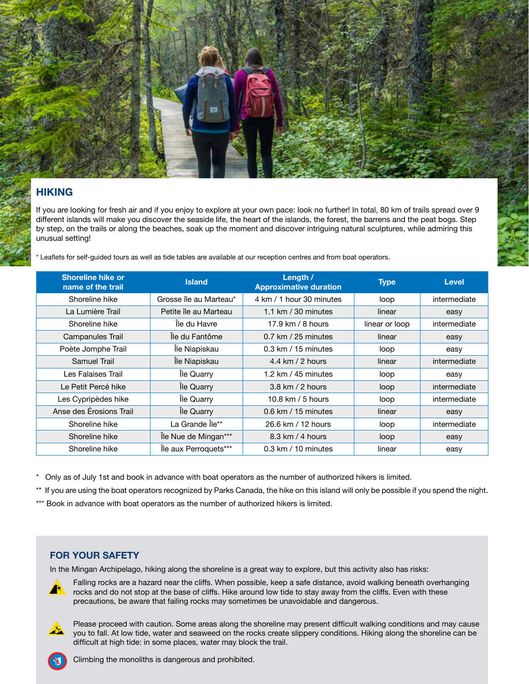

#### **hiking**

If you are looking for fresh air and if you enjoy to explore at your own pace: look no further! In total, 80 km of trails spread over 9 different islands will make you discover the seaside life, the heart of the islands, the forest, the barrens and the peat bogs. Step by step, on the trails or along the beaches, soak up the moment and discover intriguing natural sculptures, while admiring this unusual setting!

\* Leaflets for self-guided tours as well as tide tables are available at our reception centres and from boat operators.

| <b>Shoreline hike or</b><br>name of the trail | <b>Island</b>          | Length /<br><b>Approximative duration</b> | <b>Type</b>    | <b>Level</b> |
|-----------------------------------------------|------------------------|-------------------------------------------|----------------|--------------|
| Shoreline hike                                | Grosse île au Marteau* | 4 km / 1 hour 30 minutes                  | loop           | intermediate |
| La Lumière Trail                              | Petite île au Marteau  | 1.1 km $/$ 30 minutes                     | linear         | easy         |
| Shoreline hike                                | Île du Havre           | 17.9 km $/$ 8 hours                       | linear or loop | intermediate |
| Campanules Trail                              | Île du Fantôme         | $0.7$ km / 25 minutes                     | linear         | easy         |
| Poète Jomphe Trail                            | Île Niapiskau          | $0.3$ km / 15 minutes                     | loop           | easy         |
| Samuel Trail                                  | Île Niapiskau          | 4.4 km $/$ 2 hours                        | linear         | intermediate |
| Les Falaises Trail                            | lle Quarry             | 1.2 km / $45$ minutes                     | loop           | easy         |
| Le Petit Percé hike                           | Île Quarry             | $3.8$ km $/2$ hours                       | loop           | intermediate |
| Les Cypripèdes hike                           | lle Quarry             | 10.8 km $/$ 5 hours                       | loop           | intermediate |
| Anse des Erosions Trail                       | lle Quarry             | $0.6$ km $/$ 15 minutes                   | linear         | easy         |
| Shoreline hike                                | La Grande Île**        | 26.6 km / 12 hours                        | loop           | intermediate |
| Shoreline hike                                | Île Nue de Mingan***   | $8.3 \text{ km}$ / 4 hours                | loop           | easy         |
| Shoreline hike                                | lle aux Perroquets***  | $0.3$ km $/$ 10 minutes                   | linear         | easy         |

\* Only as of July 1st and book in advance with boat operators as the number of authorized hikers is limited.

\*\* If you are using the boat operators recognized by Parks Canada, the hike on this island will only be possible if you spend the night.

\*\*\* Book in advance with boat operators as the number of authorized hikers is limited.

#### **For your safety**

In the Mingan Archipelago, hiking along the shoreline is a great way to explore, but this activity also has risks:



Falling rocks are a hazard near the cliffs. When possible, keep a safe distance, avoid walking beneath overhanging rocks and do not stop at the base of cliffs. Hike around low tide to stay away from the cliffs. Even with these precautions, be aware that failing rocks may sometimes be unavoidable and dangerous.

Please proceed with caution. Some areas along the shoreline may present difficult walking conditions and may cause you to fall. At low tide, water and seaweed on the rocks create slippery conditions. Hiking along the shoreline can be difficult at high tide: in some places, water may block the trail.



Climbing the monoliths is dangerous and prohibited.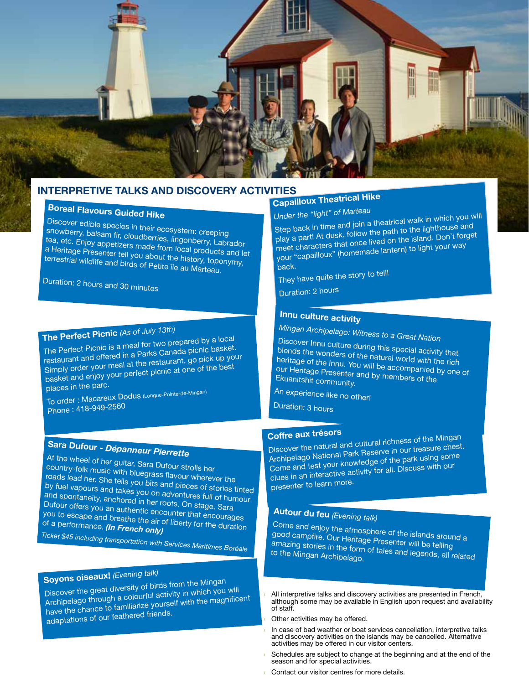

#### **interpretive talks and discovery activities**

## **Boreal Flavours Guided Hike**

Discover edible species in their ecosystem: creeping snowberry, balsam fir, cloudberries, lingonberry, Labrador tea, etc. Enjoy appetizers made from local products and let a Heritage Presenter tell you about the history, toponymy, terrestrial wildlife and birds of Petite île au Marteau.

Duration: 2 hours and 30 minutes

## **The Perfect Picnic** *(As of July 13th)*

The Perfect Picnic is a meal for two prepared by a local restaurant and offered in a Parks Canada picnic basket. Simply order your meal at the restaurant, go pick up your basket and enjoy your perfect picnic at one of the best places in the parc.

To order : Macareux Dodus (Longue-Pointe-de-Mingan) Phone : 418-949-2560

## **Sara Dufour -** *Dépanneur Pierrette*

At the wheel of her guitar, Sara Dufour strolls her country-folk music with bluegrass flavour wherever the roads lead her. She tells you bits and pieces of stories tinted by fuel vapours and takes you on adventures full of humour and spontaneity, anchored in her roots. On stage, Sara Dufour offers you an authentic encounter that encourages you to escape and breathe the air of liberty for the duration of a performance. *(In French only) Ticket \$45 including transportation with Services Maritimes Boréale*

## **Soyons oiseaux!** *(Evening talk)*

Discover the great diversity of birds from the Mingan Archipelago through a colourful activity in which you will have the chance to familiarize yourself with the magnificent adaptations of our feathered friends.

## **Capailloux Theatrical Hike**

*Under the "light" of Marteau*

Step back in time and join a theatrical walk in which you will play a part! At dusk, follow the path to the lighthouse and meet characters that once lived on the island. Don't forget your "capailloux" (homemade lantern) to light your way back.

They have quite the story to tell!

Duration: 2 hours

### **Innu culture activity**

*Mingan Archipelago: Witness to a Great Nation*

Discover Innu culture during this special activity that blends the wonders of the natural world with the rich heritage of the Innu. You will be accompanied by one of our Heritage Presenter and by members of the Ekuanitshit community.

An experience like no other!

Duration: 3 hours

### **Coffre aux trésors**

Discover the natural and cultural richness of the Mingan Archipelago National Park Reserve in our treasure chest. Come and test your knowledge of the park using some clues in an interactive activity for all. Discuss with our presenter to learn more.

### **Autour du feu** *(Evening talk)*

Come and enjoy the atmosphere of the islands around a good campfire. Our Heritage Presenter will be telling amazing stories in the form of tales and legends, all related to the Mingan Archipelago.

All interpretive talks and discovery activities are presented in French, although some may be available in English upon request and availability of staff.

Other activities may be offered.

- › In case of bad weather or boat services cancellation, interpretive talks and discovery activities on the islands may be cancelled. Alternative activities may be offered in our visitor centers.
- Schedules are subject to change at the beginning and at the end of the season and for special activities.
- Contact our visitor centres for more details.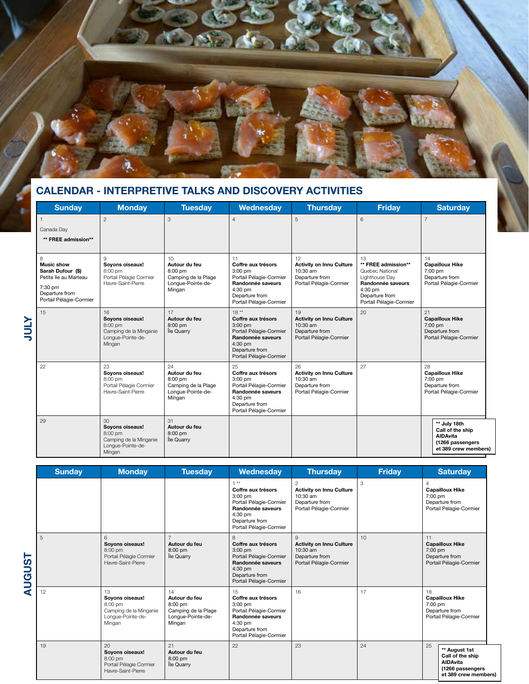

### **calendar - Interpretive talks and discovery activities**

| <b>Sunday</b>                                                                                                                | <b>Monday</b>                                                                               | <b>Tuesday</b>                                                                         | Wednesday                                                                                                                                           | <b>Thursday</b>                                                                                  | <b>Friday</b>                                                                                                                               | <b>Saturday</b>                                                                                 |
|------------------------------------------------------------------------------------------------------------------------------|---------------------------------------------------------------------------------------------|----------------------------------------------------------------------------------------|-----------------------------------------------------------------------------------------------------------------------------------------------------|--------------------------------------------------------------------------------------------------|---------------------------------------------------------------------------------------------------------------------------------------------|-------------------------------------------------------------------------------------------------|
| $\overline{1}$<br>Canada Day<br>** FREE admission**                                                                          | $\overline{2}$                                                                              | 3                                                                                      | $\overline{4}$                                                                                                                                      | 5                                                                                                | 6                                                                                                                                           | $\overline{7}$                                                                                  |
| 8<br><b>Music show</b><br>Sarah Dufour (\$)<br>Petite île au Marteau<br>7:30 pm<br>Departure from<br>Portail Pélagie-Cormier | $\mathbf{Q}$<br>Soyons oiseaux!<br>8:00 pm<br>Portail Pélagie Cormier<br>Havre-Saint-Pierre | 10<br>Autour du feu<br>$8:00$ pm<br>Camping de la Plage<br>Longue-Pointe-de-<br>Mingan | 11<br>Coffre aux trésors<br>$3:00$ pm<br>Portail Pélagie-Cormier<br>Randonnée saveurs<br>4:30 pm<br>Departure from<br>Portail Pélagie-Cormier       | 12<br><b>Activity on Innu Culture</b><br>10:30 am<br>Departure from<br>Portail Pélagie-Cormier   | 13<br>** FREE admission**<br>Quebec National<br>Lighthouse Day<br>Randonnée saveurs<br>4:30 pm<br>Departure from<br>Portail Pélagie-Cormier | 14<br><b>Capailloux Hike</b><br>7:00 pm<br>Departure from<br>Portail Pélagie-Cormier            |
| 15                                                                                                                           | 16<br>Sovons oiseaux!<br>8:00 pm<br>Camping de la Minganie<br>Longue-Pointe-de-<br>Mingan   | 17<br>Autour du feu<br>$8:00$ pm<br>Île Quarry                                         | $18**$<br>Coffre aux trésors<br>$3:00$ pm<br>Portail Pélagie-Cormier<br>Randonnée saveurs<br>$4:30$ pm<br>Departure from<br>Portail Pélagie-Cormier | 19<br><b>Activity on Innu Culture</b><br>$10:30$ am<br>Departure from<br>Portail Pélagie-Cormier | 20                                                                                                                                          | 21<br><b>Capailloux Hike</b><br>$7:00$ pm<br>Departure from<br>Portail Pélagie-Cormier          |
| 22                                                                                                                           | 23<br>Soyons oiseaux!<br>8:00 pm<br>Portail Pélagie Cormier<br>Havre-Saint-Pierre           | 24<br>Autour du feu<br>8:00 pm<br>Camping de la Plage<br>Longue-Pointe-de-<br>Mingan   | 25<br>Coffre aux trésors<br>$3:00$ pm<br>Portail Pélagie-Cormier<br>Randonnée saveurs<br>4:30 pm<br>Departure from<br>Portail Pélagie-Cormier       | 26<br><b>Activity on Innu Culture</b><br>10:30 am<br>Departure from<br>Portail Pélagie-Cormier   | 27                                                                                                                                          | 28<br><b>Capailloux Hike</b><br>7:00 pm<br>Departure from<br>Portail Pélagie-Cormier            |
| 29                                                                                                                           | 30<br>Sovons oiseaux!<br>8:00 pm<br>Camping de la Minganie<br>Longue-Pointe-de-<br>Mingan   | 31<br>Autour du feu<br>$8:00$ pm<br>Île Quarry                                         |                                                                                                                                                     |                                                                                                  |                                                                                                                                             | ** July 18th<br>Call of the ship<br><b>AIDAvita</b><br>(1266 passengers<br>et 389 crew members) |

|               | <b>Sunday</b> | <b>Monday</b>                                                                             | <b>Tuesday</b>                                                                         | <b>Wednesday</b>                                                                                                                                   | <b>Thursday</b>                                                                                              | <b>Friday</b> | <b>Saturday</b>                                                                                        |  |
|---------------|---------------|-------------------------------------------------------------------------------------------|----------------------------------------------------------------------------------------|----------------------------------------------------------------------------------------------------------------------------------------------------|--------------------------------------------------------------------------------------------------------------|---------------|--------------------------------------------------------------------------------------------------------|--|
|               |               |                                                                                           |                                                                                        | $4 * +$<br>Coffre aux trésors<br>$3:00$ pm<br>Portail Pélagie-Cormier<br>Randonnée saveurs<br>4:30 pm<br>Departure from<br>Portail Pélagie-Cormier | $\overline{c}$<br><b>Activity on Innu Culture</b><br>$10:30$ am<br>Departure from<br>Portail Pélagie-Cormier | 3             | <b>Capailloux Hike</b><br>$7:00$ pm<br>Departure from<br>Portail Pélagie-Cormier                       |  |
| <b>AUGUST</b> | 5             | 6<br>Soyons oiseaux!<br>$8:00$ pm<br>Portail Pélagie Cormier<br>Havre-Saint-Pierre        | Autour du feu<br>$8:00$ pm<br>Île Quarry                                               | 8<br>Coffre aux trésors<br>$3:00$ pm<br>Portail Pélagie-Cormier<br>Randonnée saveurs<br>4:30 pm<br>Departure from<br>Portail Pélagie-Cormier       | $\overline{Q}$<br><b>Activity on Innu Culture</b><br>$10:30$ am<br>Departure from<br>Portail Pélagie-Cormier | 10            | 11<br><b>Capailloux Hike</b><br>7:00 pm<br>Departure from<br>Portail Pélagie-Cormier                   |  |
|               | 12            | 13<br>Soyons oiseaux!<br>8:00 pm<br>Camping de la Minganie<br>Longue-Pointe-de-<br>Mingan | 14<br>Autour du feu<br>$8:00$ pm<br>Camping de la Plage<br>Longue-Pointe-de-<br>Mingan | 15<br>Coffre aux trésors<br>$3:00$ pm<br>Portail Pélagie-Cormier<br>Randonnée saveurs<br>4:30 pm<br>Departure from<br>Portail Pélagie-Cormier      | 16                                                                                                           | 17            | 18<br><b>Capailloux Hike</b><br>$7:00$ pm<br>Departure from<br>Portail Pélagie-Cormier                 |  |
|               | 19            | 20<br>Soyons oiseaux!<br>$8:00$ pm<br>Portail Pélagie Cormier<br>Havre-Saint-Pierre       | 21<br>Autour du feu<br>$8:00$ pm<br>Île Quarry                                         | 22                                                                                                                                                 | 23                                                                                                           | 24            | 25<br>** August 1st<br>Call of the ship<br><b>AIDAvita</b><br>(1266 passengers<br>et 389 crew members) |  |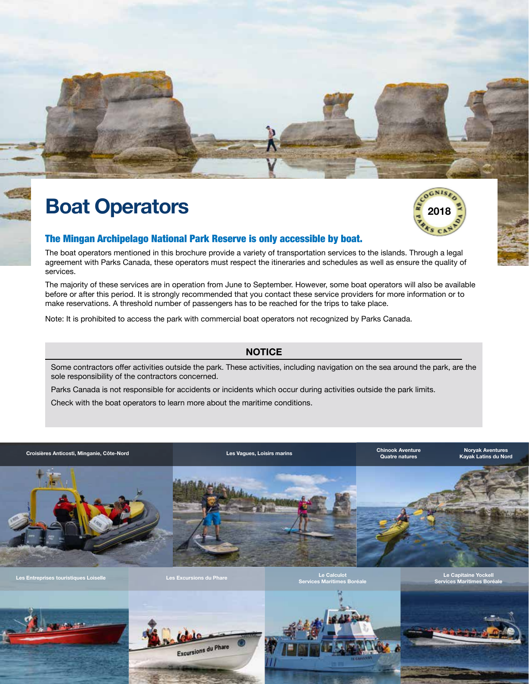

## **Boat Operators**



#### The Mingan Archipelago National Park Reserve is only accessible by boat.

The boat operators mentioned in this brochure provide a variety of transportation services to the islands. Through a legal agreement with Parks Canada, these operators must respect the itineraries and schedules as well as ensure the quality of services.

The majority of these services are in operation from June to September. However, some boat operators will also be available before or after this period. It is strongly recommended that you contact these service providers for more information or to make reservations. A threshold number of passengers has to be reached for the trips to take place.

Note: It is prohibited to access the park with commercial boat operators not recognized by Parks Canada.

#### **notice**

Some contractors offer activities outside the park. These activities, including navigation on the sea around the park, are the sole responsibility of the contractors concerned.

Parks Canada is not responsible for accidents or incidents which occur during activities outside the park limits.

Check with the boat operators to learn more about the maritime conditions.

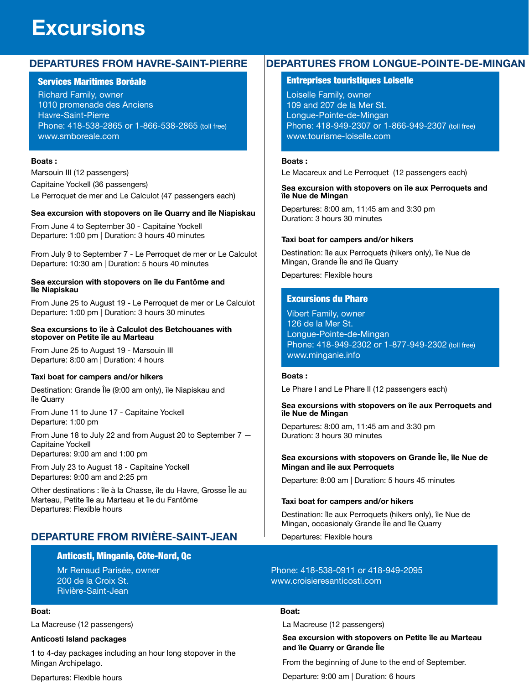## **Excursions**

#### **Departures from Havre-Saint-Pierre**

#### Services Maritimes Boréale

Richard Family, owner 1010 promenade des Anciens Havre-Saint-Pierre Phone: 418-538-2865 or 1-866-538-2865 (toll free) www.smboreale.com

#### **Boats :**

Marsouin III (12 passengers) Capitaine Yockell (36 passengers) Le Perroquet de mer and Le Calculot (47 passengers each)

#### **Sea excursion with stopovers on île Quarry and île Niapiskau**

From June 4 to September 30 - Capitaine Yockell Departure: 1:00 pm | Duration: 3 hours 40 minutes

From July 9 to September 7 - Le Perroquet de mer or Le Calculot Departure: 10:30 am | Duration: 5 hours 40 minutes

#### **Sea excursion with stopovers on île du Fantôme and île Niapiskau**

From June 25 to August 19 - Le Perroquet de mer or Le Calculot Departure: 1:00 pm | Duration: 3 hours 30 minutes

#### **Sea excursions to île à Calculot des Betchouanes with stopover on Petite île au Marteau**

From June 25 to August 19 - Marsouin III Departure: 8:00 am | Duration: 4 hours

#### **Taxi boat for campers and/or hikers**

Destination: Grande Île (9:00 am only), île Niapiskau and île Quarry

From June 11 to June 17 - Capitaine Yockell Departure: 1:00 pm

From June 18 to July 22 and from August 20 to September 7 — Capitaine Yockell Departures: 9:00 am and 1:00 pm

From July 23 to August 18 - Capitaine Yockell Departures: 9:00 am and 2:25 pm

Other destinations : île à la Chasse, île du Havre, Grosse Île au Marteau, Petite île au Marteau et île du Fantôme Departures: Flexible hours

#### **departure from rivière-saint-jean**

#### Anticosti, Minganie, Côte-Nord, Qc

Mr Renaud Parisée, owner 200 de la Croix St. Rivière-Saint-Jean

#### **Boat:**

La Macreuse (12 passengers)

#### **Anticosti Island packages**

1 to 4-day packages including an hour long stopover in the Mingan Archipelago.

Departures: Flexible hours

#### **Departures from Longue-Pointe-de-Mingan**

#### Entreprises touristiques Loiselle

Loiselle Family, owner 109 and 207 de la Mer St. Longue-Pointe-de-Mingan Phone: 418-949-2307 or 1-866-949-2307 (toll free) www.tourisme-loiselle.com

#### **Boats :**

Le Macareux and Le Perroquet (12 passengers each)

#### **Sea excursion with stopovers on île aux Perroquets and île Nue de Mingan**

Departures: 8:00 am, 11:45 am and 3:30 pm Duration: 3 hours 30 minutes

#### **Taxi boat for campers and/or hikers**

Destination: île aux Perroquets (hikers only), île Nue de Mingan, Grande Île and île Quarry

Departures: Flexible hours

#### Excursions du Phare

Vibert Family, owner 126 de la Mer St. Longue-Pointe-de-Mingan Phone: 418-949-2302 or 1-877-949-2302 (toll free) www.minganie.info

#### **Boats :**

Le Phare I and Le Phare II (12 passengers each)

#### **Sea excursions with stopovers on île aux Perroquets and île Nue de Mingan**

Departures: 8:00 am, 11:45 am and 3:30 pm Duration: 3 hours 30 minutes

#### **Sea excursions with stopovers on Grande Île, île Nue de Mingan and île aux Perroquets**

Departure: 8:00 am | Duration: 5 hours 45 minutes

#### **Taxi boat for campers and/or hikers**

Destination: île aux Perroquets (hikers only), île Nue de Mingan, occasionaly Grande Île and île Quarry

Departures: Flexible hours

#### Phone: 418-538-0911 or 418-949-2095 www.croisieresanticosti.com

#### **Boat:**

La Macreuse (12 passengers)

#### **Sea excursion with stopovers on Petite île au Marteau and île Quarry or Grande Île**

From the beginning of June to the end of September.

Departure: 9:00 am | Duration: 6 hours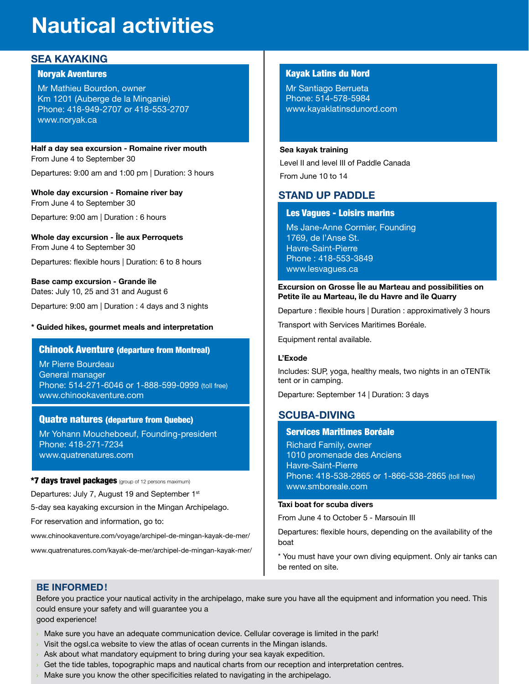## **Nautical activities**

#### **sea kayaking**

#### Noryak Aventures

Mr Mathieu Bourdon, owner Km 1201 (Auberge de la Minganie) Phone: 418-949-2707 or 418-553-2707 www.noryak.ca

#### **Half a day sea excursion - Romaine river mouth** From June 4 to September 30

Departures: 9:00 am and 1:00 pm | Duration: 3 hours

**Whole day excursion - Romaine river bay** From June 4 to September 30

Departure: 9:00 am | Duration : 6 hours

**Whole day excursion - Île aux Perroquets** From June 4 to September 30

Departures: flexible hours | Duration: 6 to 8 hours

**Base camp excursion - Grande île** Dates: July 10, 25 and 31 and August 6

Departure: 9:00 am | Duration : 4 days and 3 nights

#### **\* Guided hikes, gourmet meals and interpretation**

#### Chinook Aventure (departure from Montreal)

Mr Pierre Bourdeau General manager Phone: 514-271-6046 or 1-888-599-0999 (toll free) www.chinookaventure.com

#### Quatre natures (departure from Quebec)

Mr Yohann Moucheboeuf, Founding-president Phone: 418-271-7234 www.quatrenatures.com

\*7 days travel packages (group of 12 persons maximum) Departures: July 7, August 19 and September 1st 5-day sea kayaking excursion in the Mingan Archipelago. For reservation and information, go to:

www.chinookaventure.com/voyage/archipel-de-mingan-kayak-de-mer/

www.quatrenatures.com/kayak-de-mer/archipel-de-mingan-kayak-mer/

#### Kayak Latins du Nord

Mr Santiago Berrueta Phone: 514-578-5984 www.kayaklatinsdunord.com

#### **Sea kayak training**

Level II and level III of Paddle Canada From June 10 to 14

#### **Stand UP paddle**

#### Les Vagues - Loisirs marins

Ms Jane-Anne Cormier, Founding 1769, de l'Anse St. Havre-Saint-Pierre Phone : 418-553-3849 www.lesvagues.ca

#### **Excursion on Grosse Île au Marteau and possibilities on Petite île au Marteau, île du Havre and île Quarry**

Departure : flexible hours | Duration : approximatively 3 hours

Transport with Services Maritimes Boréale.

Equipment rental available.

#### **L'Exode**

Includes: SUP, yoga, healthy meals, two nights in an oTENTik tent or in camping.

Departure: September 14 | Duration: 3 days

#### **Scuba-diving**

#### Services Maritimes Boréale

Richard Family, owner 1010 promenade des Anciens Havre-Saint-Pierre Phone: 418-538-2865 or 1-866-538-2865 (toll free) www.smboreale.com

#### **Taxi boat for scuba divers**

From June 4 to October 5 - Marsouin III

Departures: flexible hours, depending on the availability of the boat

\* You must have your own diving equipment. Only air tanks can be rented on site.

#### **Be informed !**

Before you practice your nautical activity in the archipelago, make sure you have all the equipment and information you need. This could ensure your safety and will guarantee you a

good experience!

- Make sure you have an adequate communication device. Cellular coverage is limited in the park!
- $\rightarrow$  Visit the ogsl.ca website to view the atlas of ocean currents in the Mingan islands.
- $\rightarrow$  Ask about what mandatory equipment to bring during your sea kayak expedition.
- › Get the tide tables, topographic maps and nautical charts from our reception and interpretation centres.
- Make sure you know the other specificities related to navigating in the archipelago.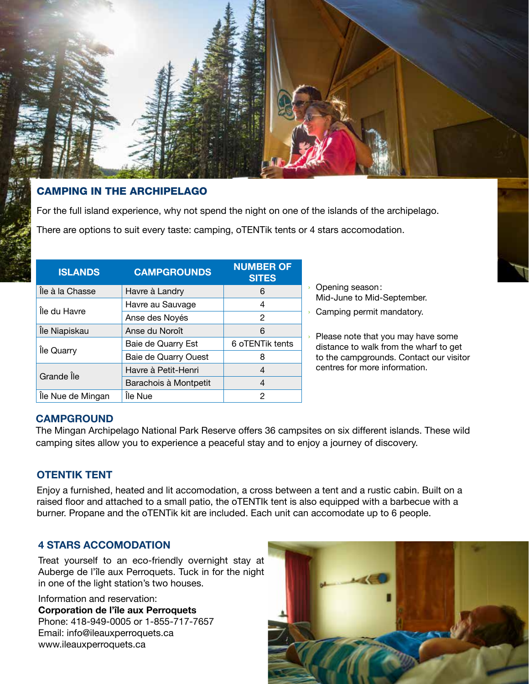

#### camping in the archipelago

For the full island experience, why not spend the night on one of the islands of the archipelago.

There are options to suit every taste: camping, oTENTik tents or 4 stars accomodation.

| <b>ISLANDS</b>    | <b>CAMPGROUNDS</b>    | <b>NUMBER OF</b><br><b>SITES</b> |  |  |
|-------------------|-----------------------|----------------------------------|--|--|
| Île à la Chasse   | Havre à Landry        | 6                                |  |  |
| Île du Havre      | Havre au Sauvage      | 4                                |  |  |
|                   | Anse des Noyés        | $\mathcal{P}$                    |  |  |
| Île Niapiskau     | Anse du Noroît        | 6                                |  |  |
| Île Quarry        | Baie de Quarry Est    | 6 oTENTik tents                  |  |  |
|                   | Baie de Quarry Ouest  | 8                                |  |  |
| Grande Île        | Havre à Petit-Henri   | 4                                |  |  |
|                   | Barachois à Montpetit | 4                                |  |  |
| Île Nue de Mingan | Île Nue               | 2                                |  |  |

- › Opening season: Mid-June to Mid-September.
- › Camping permit mandatory.
- › Please note that you may have some distance to walk from the wharf to get to the campgrounds. Contact our visitor centres for more information.

#### **campgROUND**

The Mingan Archipelago National Park Reserve offers 36 campsites on six different islands. These wild camping sites allow you to experience a peaceful stay and to enjoy a journey of discovery.

#### **OTENTIK TENT**

Enjoy a furnished, heated and lit accomodation, a cross between a tent and a rustic cabin. Built on a raised floor and attached to a small patio, the oTENTIk tent is also equipped with a barbecue with a burner. Propane and the oTENTik kit are included. Each unit can accomodate up to 6 people.

#### **4 stars accomodation**

Treat yourself to an eco-friendly overnight stay at Auberge de l'île aux Perroquets. Tuck in for the night in one of the light station's two houses.

Information and reservation: **Corporation de l'île aux Perroquets** Phone: 418-949-0005 or 1-855-717-7657 Email: info@ileauxperroquets.ca www.ileauxperroquets.ca

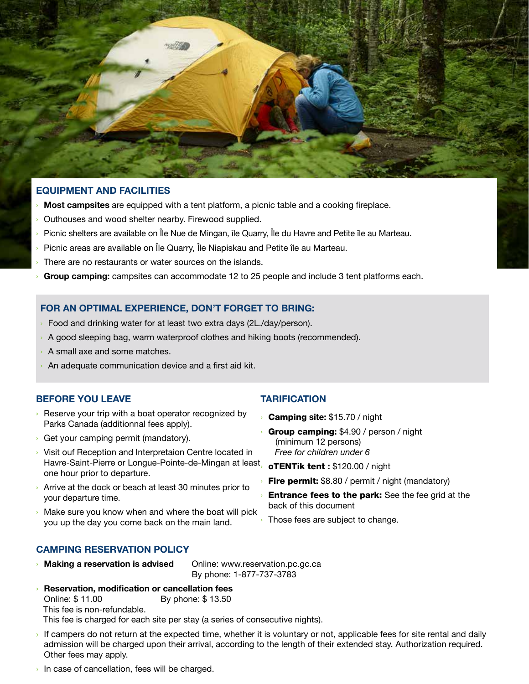

#### **equipment and facilities**

- **Most campsites** are equipped with a tent platform, a picnic table and a cooking fireplace.
- Outhouses and wood shelter nearby. Firewood supplied.
- Picnic shelters are available on Île Nue de Mingan, île Quarry, Île du Havre and Petite île au Marteau.
- Picnic areas are available on Île Quarry, Île Niapiskau and Petite île au Marteau.
- There are no restaurants or water sources on the islands.
- › **Group camping:** campsites can accommodate 12 to 25 people and include 3 tent platforms each.

#### **FOR An optimal experience, don't forget to bring:**

- › Food and drinking water for at least two extra days (2L./day/person).
- › A good sleeping bag, warm waterproof clothes and hiking boots (recommended).
- › A small axe and some matches.
- An adequate communication device and a first aid kit.

#### **before you leave**

- › Reserve your trip with a boat operator recognized by Parks Canada (additionnal fees apply).
- › Get your camping permit (mandatory).
- › Visit ouf Reception and Interpretaion Centre located in Havre-Saint-Pierre or Longue-Pointe-de-Mingan at least one hour prior to departure.
- › Arrive at the dock or beach at least 30 minutes prior to your departure time.
- › Make sure you know when and where the boat will pick you up the day you come back on the main land.

#### **TARIFICATION**

- › Camping **site:** \$15.70 / night
- › Group camping**:** \$4.90 / person / night (minimum 12 persons)  *Free for children under 6*

› oTENTik tent **:** \$120.00 / night

**Fire permit:** \$8.80 / permit / night (mandatory)

**Entrance fees to the park:** See the fee grid at the back of this document

Those fees are subject to change.

#### **camping reservation policy**

**Making a reservation is advised** Online: www.reservation.pc.gc.ca

By phone: 1-877-737-3783

- › **Reservation, modification or cancellation fees** Online: \$ 11.00 By phone: \$ 13.50 This fee is non-refundable.
	- This fee is charged for each site per stay (a series of consecutive nights).
- If campers do not return at the expected time, whether it is voluntary or not, applicable fees for site rental and daily admission will be charged upon their arrival, according to the length of their extended stay. Authorization required. Other fees may apply.
- $\rightarrow$  In case of cancellation, fees will be charged.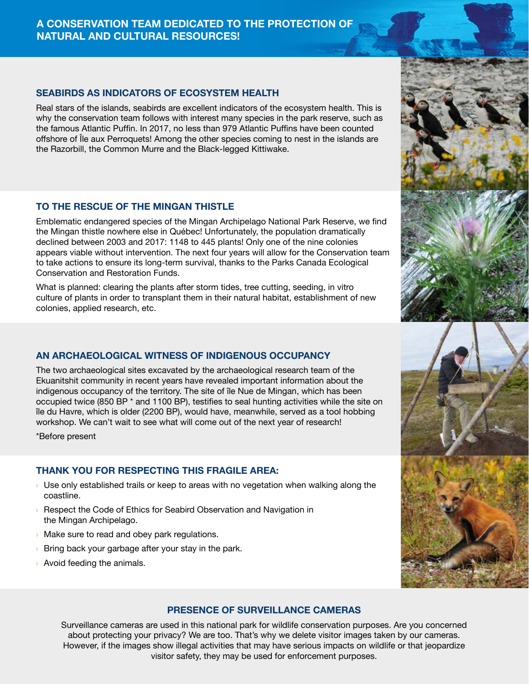#### **A CONSERVATION TEAM DEDICATED TO THE PROTECTION OF NATURAL AND CULTURAL RESOURCES!**

#### **SEABIRDS AS INDICATORS OF ECOSYSTEM HEALTH**

Real stars of the islands, seabirds are excellent indicators of the ecosystem health. This is why the conservation team follows with interest many species in the park reserve, such as the famous Atlantic Puffin. In 2017, no less than 979 Atlantic Puffins have been counted offshore of Île aux Perroquets! Among the other species coming to nest in the islands are the Razorbill, the Common Murre and the Black-legged Kittiwake.

#### **TO THE RESCUE OF THE MINGAN THISTLE**

Emblematic endangered species of the Mingan Archipelago National Park Reserve, we find the Mingan thistle nowhere else in Québec! Unfortunately, the population dramatically declined between 2003 and 2017: 1148 to 445 plants! Only one of the nine colonies appears viable without intervention. The next four years will allow for the Conservation team to take actions to ensure its long-term survival, thanks to the Parks Canada Ecological Conservation and Restoration Funds.

What is planned: clearing the plants after storm tides, tree cutting, seeding, in vitro culture of plants in order to transplant them in their natural habitat, establishment of new colonies, applied research, etc.

#### **AN ARCHaEOLOGICAL WITNESS OF indigenous OCCUPANCY**

The two archaeological sites excavated by the archaeological research team of the Ekuanitshit community in recent years have revealed important information about the indigenous occupancy of the territory. The site of île Nue de Mingan, which has been occupied twice (850 BP \* and 1100 BP), testifies to seal hunting activities while the site on île du Havre, which is older (2200 BP), would have, meanwhile, served as a tool hobbing workshop. We can't wait to see what will come out of the next year of research!

\*Before present

#### **Thank you for respecting this fragile area:**

- $\rightarrow$  Use only established trails or keep to areas with no vegetation when walking along the coastline.
- **EXECO EXECOM** Respect the Code of Ethics for Seabird Observation and Navigation in the Mingan Archipelago.
- $\rightarrow$  Make sure to read and obey park regulations.
- $\rightarrow$  Bring back your garbage after your stay in the park.
- › Avoid feeding the animals.





#### **PRESENCE OF SURVEILLANCE CAMERAS**

Surveillance cameras are used in this national park for wildlife conservation purposes. Are you concerned about protecting your privacy? We are too. That's why we delete visitor images taken by our cameras. However, if the images show illegal activities that may have serious impacts on wildlife or that jeopardize visitor safety, they may be used for enforcement purposes.